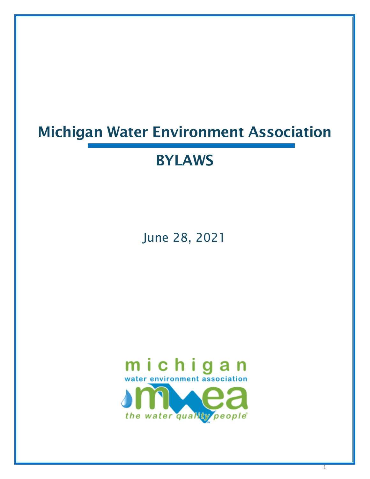# Michigan Water Environment Association

# BYLAWS

June 28, 2021



1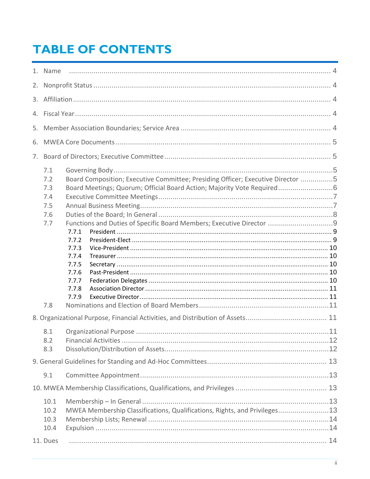# **TABLE OF CONTENTS**

|  | 1. Name                                              |                                                                                                                                                                                                                                                                                                                  |  |  |  |
|--|------------------------------------------------------|------------------------------------------------------------------------------------------------------------------------------------------------------------------------------------------------------------------------------------------------------------------------------------------------------------------|--|--|--|
|  |                                                      |                                                                                                                                                                                                                                                                                                                  |  |  |  |
|  |                                                      |                                                                                                                                                                                                                                                                                                                  |  |  |  |
|  |                                                      |                                                                                                                                                                                                                                                                                                                  |  |  |  |
|  |                                                      |                                                                                                                                                                                                                                                                                                                  |  |  |  |
|  |                                                      |                                                                                                                                                                                                                                                                                                                  |  |  |  |
|  |                                                      |                                                                                                                                                                                                                                                                                                                  |  |  |  |
|  |                                                      |                                                                                                                                                                                                                                                                                                                  |  |  |  |
|  | 7.1<br>7.2<br>7.3<br>7.4<br>7.5<br>7.6<br>7.7<br>7.8 | Board Composition; Executive Committee; Presiding Officer; Executive Director 5<br>Board Meetings; Quorum; Official Board Action; Majority Vote Required6<br>Functions and Duties of Specific Board Members; Executive Director<br>7.7.1<br>7.7.2<br>7.7.3<br>7.7.4<br>7.7.5<br>7.7.6<br>7.7.7<br>7.7.8<br>7.7.9 |  |  |  |
|  |                                                      |                                                                                                                                                                                                                                                                                                                  |  |  |  |
|  | 8.1<br>8.2<br>8.3                                    |                                                                                                                                                                                                                                                                                                                  |  |  |  |
|  |                                                      |                                                                                                                                                                                                                                                                                                                  |  |  |  |
|  | 9.1                                                  |                                                                                                                                                                                                                                                                                                                  |  |  |  |
|  |                                                      |                                                                                                                                                                                                                                                                                                                  |  |  |  |
|  | 10.1<br>10.2<br>10.3<br>10.4                         | MWEA Membership Classifications, Qualifications, Rights, and Privileges13                                                                                                                                                                                                                                        |  |  |  |
|  | 11. Dues                                             |                                                                                                                                                                                                                                                                                                                  |  |  |  |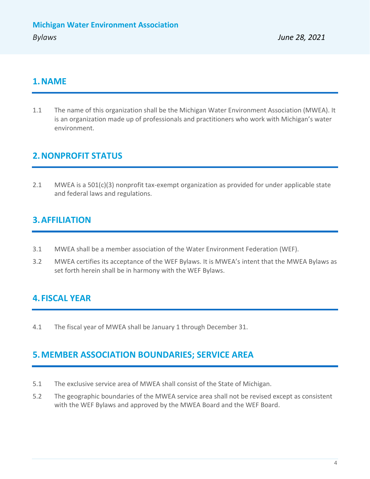### <span id="page-3-0"></span>**1.NAME**

1.1 The name of this organization shall be the Michigan Water Environment Association (MWEA). It is an organization made up of professionals and practitioners who work with Michigan's water environment.

# <span id="page-3-1"></span>**2.NONPROFIT STATUS**

2.1 MWEA is a 501(c)(3) nonprofit tax-exempt organization as provided for under applicable state and federal laws and regulations.

# <span id="page-3-2"></span>**3.AFFILIATION**

- 3.1 MWEA shall be a member association of the Water Environment Federation (WEF).
- 3.2 MWEA certifies its acceptance of the WEF Bylaws. It is MWEA's intent that the MWEA Bylaws as set forth herein shall be in harmony with the WEF Bylaws.

# <span id="page-3-3"></span>**4. FISCAL YEAR**

4.1 The fiscal year of MWEA shall be January 1 through December 31.

# <span id="page-3-4"></span>**5.MEMBER ASSOCIATION BOUNDARIES; SERVICE AREA**

- 5.1 The exclusive service area of MWEA shall consist of the State of Michigan.
- 5.2 The geographic boundaries of the MWEA service area shall not be revised except as consistent with the WEF Bylaws and approved by the MWEA Board and the WEF Board.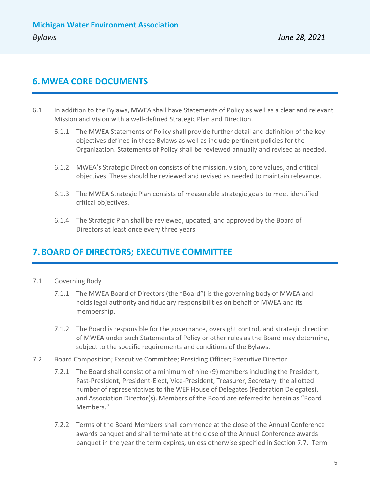### <span id="page-4-0"></span>**6.MWEA CORE DOCUMENTS**

- 6.1 In addition to the Bylaws, MWEA shall have Statements of Policy as well as a clear and relevant Mission and Vision with a well-defined Strategic Plan and Direction.
	- 6.1.1 The MWEA Statements of Policy shall provide further detail and definition of the key objectives defined in these Bylaws as well as include pertinent policies for the Organization. Statements of Policy shall be reviewed annually and revised as needed.
	- 6.1.2 MWEA's Strategic Direction consists of the mission, vision, core values, and critical objectives. These should be reviewed and revised as needed to maintain relevance.
	- 6.1.3 The MWEA Strategic Plan consists of measurable strategic goals to meet identified critical objectives.
	- 6.1.4 The Strategic Plan shall be reviewed, updated, and approved by the Board of Directors at least once every three years.

# <span id="page-4-1"></span>**7.BOARD OF DIRECTORS; EXECUTIVE COMMITTEE**

- <span id="page-4-2"></span>7.1 Governing Body
	- 7.1.1 The MWEA Board of Directors (the "Board") is the governing body of MWEA and holds legal authority and fiduciary responsibilities on behalf of MWEA and its membership.
	- 7.1.2 The Board is responsible for the governance, oversight control, and strategic direction of MWEA under such Statements of Policy or other rules as the Board may determine, subject to the specific requirements and conditions of the Bylaws.
- <span id="page-4-3"></span>7.2 Board Composition; Executive Committee; Presiding Officer; Executive Director
	- 7.2.1 The Board shall consist of a minimum of nine (9) members including the President, Past-President, President-Elect, Vice-President, Treasurer, Secretary, the allotted number of representatives to the WEF House of Delegates (Federation Delegates), and Association Director(s). Members of the Board are referred to herein as "Board Members."
	- 7.2.2 Terms of the Board Members shall commence at the close of the Annual Conference awards banquet and shall terminate at the close of the Annual Conference awards banquet in the year the term expires, unless otherwise specified in Section 7.7. Term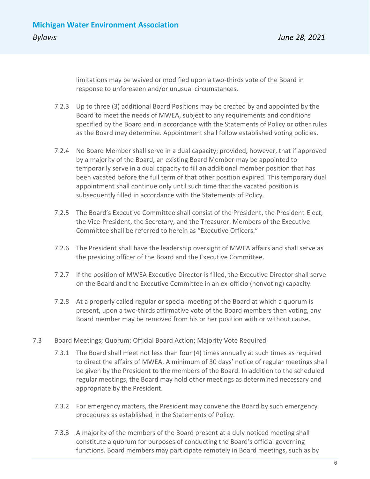limitations may be waived or modified upon a two-thirds vote of the Board in response to unforeseen and/or unusual circumstances.

- 7.2.3 Up to three (3) additional Board Positions may be created by and appointed by the Board to meet the needs of MWEA, subject to any requirements and conditions specified by the Board and in accordance with the Statements of Policy or other rules as the Board may determine. Appointment shall follow established voting policies.
- 7.2.4 No Board Member shall serve in a dual capacity; provided, however, that if approved by a majority of the Board, an existing Board Member may be appointed to temporarily serve in a dual capacity to fill an additional member position that has been vacated before the full term of that other position expired. This temporary dual appointment shall continue only until such time that the vacated position is subsequently filled in accordance with the Statements of Policy.
- 7.2.5 The Board's Executive Committee shall consist of the President, the President-Elect, the Vice-President, the Secretary, and the Treasurer. Members of the Executive Committee shall be referred to herein as "Executive Officers."
- 7.2.6 The President shall have the leadership oversight of MWEA affairs and shall serve as the presiding officer of the Board and the Executive Committee.
- 7.2.7 If the position of MWEA Executive Director is filled, the Executive Director shall serve on the Board and the Executive Committee in an ex-officio (nonvoting) capacity.
- 7.2.8 At a properly called regular or special meeting of the Board at which a quorum is present, upon a two-thirds affirmative vote of the Board members then voting, any Board member may be removed from his or her position with or without cause.
- <span id="page-5-0"></span>7.3 Board Meetings; Quorum; Official Board Action; Majority Vote Required
	- 7.3.1 The Board shall meet not less than four (4) times annually at such times as required to direct the affairs of MWEA. A minimum of 30 days' notice of regular meetings shall be given by the President to the members of the Board. In addition to the scheduled regular meetings, the Board may hold other meetings as determined necessary and appropriate by the President.
	- 7.3.2 For emergency matters, the President may convene the Board by such emergency procedures as established in the Statements of Policy.
	- 7.3.3 A majority of the members of the Board present at a duly noticed meeting shall constitute a quorum for purposes of conducting the Board's official governing functions. Board members may participate remotely in Board meetings, such as by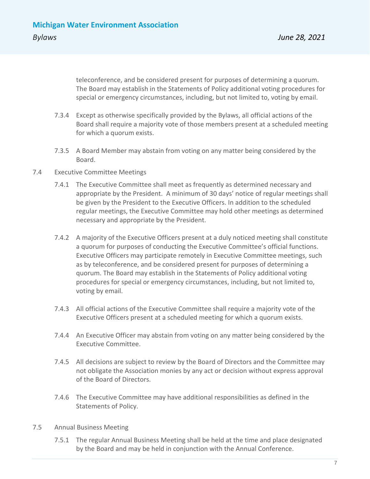teleconference, and be considered present for purposes of determining a quorum. The Board may establish in the Statements of Policy additional voting procedures for special or emergency circumstances, including, but not limited to, voting by email.

- 7.3.4 Except as otherwise specifically provided by the Bylaws, all official actions of the Board shall require a majority vote of those members present at a scheduled meeting for which a quorum exists.
- 7.3.5 A Board Member may abstain from voting on any matter being considered by the Board.
- <span id="page-6-0"></span>7.4 Executive Committee Meetings
	- 7.4.1 The Executive Committee shall meet as frequently as determined necessary and appropriate by the President. A minimum of 30 days' notice of regular meetings shall be given by the President to the Executive Officers. In addition to the scheduled regular meetings, the Executive Committee may hold other meetings as determined necessary and appropriate by the President.
	- 7.4.2 A majority of the Executive Officers present at a duly noticed meeting shall constitute a quorum for purposes of conducting the Executive Committee's official functions. Executive Officers may participate remotely in Executive Committee meetings, such as by teleconference, and be considered present for purposes of determining a quorum. The Board may establish in the Statements of Policy additional voting procedures for special or emergency circumstances, including, but not limited to, voting by email.
	- 7.4.3 All official actions of the Executive Committee shall require a majority vote of the Executive Officers present at a scheduled meeting for which a quorum exists.
	- 7.4.4 An Executive Officer may abstain from voting on any matter being considered by the Executive Committee.
	- 7.4.5 All decisions are subject to review by the Board of Directors and the Committee may not obligate the Association monies by any act or decision without express approval of the Board of Directors.
	- 7.4.6 The Executive Committee may have additional responsibilities as defined in the Statements of Policy.
- <span id="page-6-1"></span>7.5 Annual Business Meeting
	- 7.5.1 The regular Annual Business Meeting shall be held at the time and place designated by the Board and may be held in conjunction with the Annual Conference.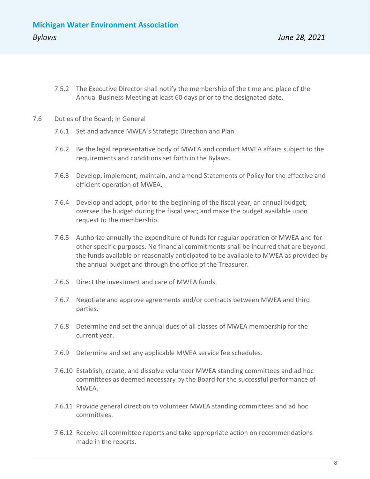- 7.5.2 The Executive Director shall notify the membership of the time and place of the Annual Business Meeting at least 60 days prior to the designated date.
- <span id="page-7-0"></span>7.6 Duties of the Board; In General
	- 7.6.1 Set and advance MWEA's Strategic Direction and Plan.
	- 7.6.2 Be the legal representative body of MWEA and conduct MWEA affairs subject to the requirements and conditions set forth in the Bylaws.
	- 7.6.3 Develop, implement, maintain, and amend Statements of Policy for the effective and efficient operation of MWEA.
	- 7.6.4 Develop and adopt, prior to the beginning of the fiscal year, an annual budget; oversee the budget during the fiscal year; and make the budget available upon request to the membership.
	- 7.6.5 Authorize annually the expenditure of funds for regular operation of MWEA and for other specific purposes. No financial commitments shall be incurred that are beyond the funds available or reasonably anticipated to be available to MWEA as provided by the annual budget and through the office of the Treasurer.
	- 7.6.6 Direct the investment and care of MWEA funds.
	- 7.6.7 Negotiate and approve agreements and/or contracts between MWEA and third parties.
	- 7.6.8 Determine and set the annual dues of all classes of MWEA membership for the current year.
	- 7.6.9 Determine and set any applicable MWEA service fee schedules.
	- 7.6.10 Establish, create, and dissolve volunteer MWEA standing committees and ad hoc committees as deemed necessary by the Board for the successful performance of MWEA.
	- 7.6.11 Provide general direction to volunteer MWEA standing committees and ad hoc committees.
	- 7.6.12 Receive all committee reports and take appropriate action on recommendations made in the reports.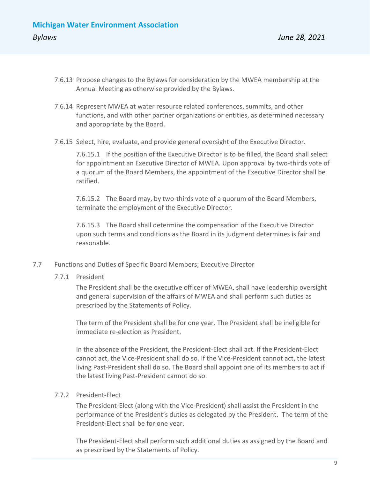- 7.6.13 Propose changes to the Bylaws for consideration by the MWEA membership at the Annual Meeting as otherwise provided by the Bylaws.
- 7.6.14 Represent MWEA at water resource related conferences, summits, and other functions, and with other partner organizations or entities, as determined necessary and appropriate by the Board.
- 7.6.15 Select, hire, evaluate, and provide general oversight of the Executive Director.

7.6.15.1 If the position of the Executive Director is to be filled, the Board shall select for appointment an Executive Director of MWEA. Upon approval by two-thirds vote of a quorum of the Board Members, the appointment of the Executive Director shall be ratified.

7.6.15.2 The Board may, by two-thirds vote of a quorum of the Board Members, terminate the employment of the Executive Director.

7.6.15.3 The Board shall determine the compensation of the Executive Director upon such terms and conditions as the Board in its judgment determines is fair and reasonable.

- <span id="page-8-1"></span><span id="page-8-0"></span>7.7 Functions and Duties of Specific Board Members; Executive Director
	- 7.7.1 President

The President shall be the executive officer of MWEA, shall have leadership oversight and general supervision of the affairs of MWEA and shall perform such duties as prescribed by the Statements of Policy.

The term of the President shall be for one year. The President shall be ineligible for immediate re-election as President.

In the absence of the President, the President-Elect shall act. If the President-Elect cannot act, the Vice-President shall do so. If the Vice-President cannot act, the latest living Past-President shall do so. The Board shall appoint one of its members to act if the latest living Past-President cannot do so.

#### <span id="page-8-2"></span>7.7.2 President-Elect

The President-Elect (along with the Vice-President) shall assist the President in the performance of the President's duties as delegated by the President. The term of the President-Elect shall be for one year.

The President-Elect shall perform such additional duties as assigned by the Board and as prescribed by the Statements of Policy.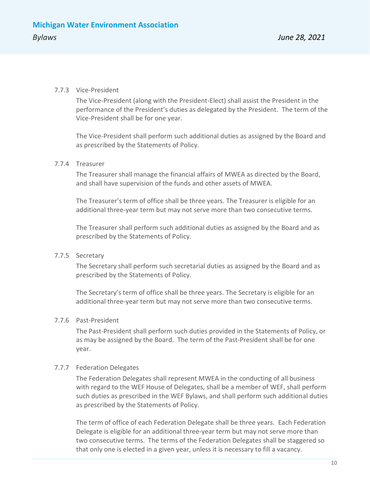#### <span id="page-9-0"></span>7.7.3 Vice-President

The Vice-President (along with the President-Elect) shall assist the President in the performance of the President's duties as delegated by the President. The term of the Vice-President shall be for one year.

The Vice-President shall perform such additional duties as assigned by the Board and as prescribed by the Statements of Policy.

#### <span id="page-9-1"></span>7.7.4 Treasurer

The Treasurer shall manage the financial affairs of MWEA as directed by the Board, and shall have supervision of the funds and other assets of MWEA.

The Treasurer's term of office shall be three years. The Treasurer is eligible for an additional three-year term but may not serve more than two consecutive terms.

The Treasurer shall perform such additional duties as assigned by the Board and as prescribed by the Statements of Policy.

#### <span id="page-9-2"></span>7.7.5 Secretary

The Secretary shall perform such secretarial duties as assigned by the Board and as prescribed by the Statements of Policy.

The Secretary's term of office shall be three years. The Secretary is eligible for an additional three-year term but may not serve more than two consecutive terms.

#### <span id="page-9-3"></span>7.7.6 Past-President

The Past-President shall perform such duties provided in the Statements of Policy, or as may be assigned by the Board. The term of the Past-President shall be for one year.

#### <span id="page-9-4"></span>7.7.7 Federation Delegates

The Federation Delegates shall represent MWEA in the conducting of all business with regard to the WEF House of Delegates, shall be a member of WEF, shall perform such duties as prescribed in the WEF Bylaws, and shall perform such additional duties as prescribed by the Statements of Policy.

The term of office of each Federation Delegate shall be three years. Each Federation Delegate is eligible for an additional three-year term but may not serve more than two consecutive terms. The terms of the Federation Delegates shall be staggered so that only one is elected in a given year, unless it is necessary to fill a vacancy.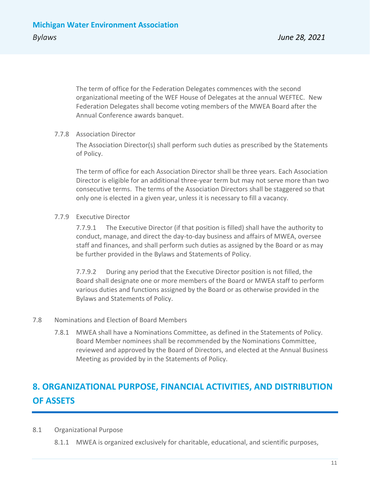The term of office for the Federation Delegates commences with the second organizational meeting of the WEF House of Delegates at the annual WEFTEC. New Federation Delegates shall become voting members of the MWEA Board after the Annual Conference awards banquet.

#### <span id="page-10-0"></span>7.7.8 Association Director

The Association Director(s) shall perform such duties as prescribed by the Statements of Policy.

The term of office for each Association Director shall be three years. Each Association Director is eligible for an additional three-year term but may not serve more than two consecutive terms. The terms of the Association Directors shall be staggered so that only one is elected in a given year, unless it is necessary to fill a vacancy.

#### <span id="page-10-1"></span>7.7.9 Executive Director

7.7.9.1 The Executive Director (if that position is filled) shall have the authority to conduct, manage, and direct the day-to-day business and affairs of MWEA, oversee staff and finances, and shall perform such duties as assigned by the Board or as may be further provided in the Bylaws and Statements of Policy.

7.7.9.2 During any period that the Executive Director position is not filled, the Board shall designate one or more members of the Board or MWEA staff to perform various duties and functions assigned by the Board or as otherwise provided in the Bylaws and Statements of Policy.

#### <span id="page-10-2"></span>7.8 Nominations and Election of Board Members

7.8.1 MWEA shall have a Nominations Committee, as defined in the Statements of Policy. Board Member nominees shall be recommended by the Nominations Committee, reviewed and approved by the Board of Directors, and elected at the Annual Business Meeting as provided by in the Statements of Policy.

# <span id="page-10-3"></span>**8. ORGANIZATIONAL PURPOSE, FINANCIAL ACTIVITIES, AND DISTRIBUTION OF ASSETS**

- <span id="page-10-4"></span>8.1 Organizational Purpose
	- 8.1.1 MWEA is organized exclusively for charitable, educational, and scientific purposes,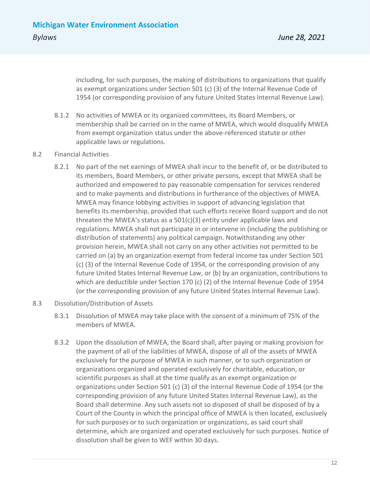including, for such purposes, the making of distributions to organizations that qualify as exempt organizations under Section 501 (c) (3) of the Internal Revenue Code of 1954 (or corresponding provision of any future United States Internal Revenue Law).

- 8.1.2 No activities of MWEA or its organized committees, its Board Members, or membership shall be carried on in the name of MWEA, which would disqualify MWEA from exempt organization status under the above-referenced statute or other applicable laws or regulations.
- <span id="page-11-0"></span>8.2 Financial Activities
	- 8.2.1 No part of the net earnings of MWEA shall incur to the benefit of, or be distributed to its members, Board Members, or other private persons, except that MWEA shall be authorized and empowered to pay reasonable compensation for services rendered and to make payments and distributions in furtherance of the objectives of MWEA. MWEA may finance lobbying activities in support of advancing legislation that benefits its membership, provided that such efforts receive Board support and do not threaten the MWEA's status as a 501(c)(3) entity under applicable laws and regulations. MWEA shall not participate in or intervene in (including the publishing or distribution of statements) any political campaign. Notwithstanding any other provision herein, MWEA shall not carry on any other activities not permitted to be carried on (a) by an organization exempt from federal income tax under Section 501 (c) (3) of the Internal Revenue Code of 1954, or the corresponding provision of any future United States Internal Revenue Law, or (b) by an organization, contributions to which are deductible under Section 170 (c) (2) of the Internal Revenue Code of 1954 (or the corresponding provision of any future United States Internal Revenue Law).
- <span id="page-11-1"></span>8.3 Dissolution/Distribution of Assets
	- 8.3.1 Dissolution of MWEA may take place with the consent of a minimum of 75% of the members of MWEA.
	- 8.3.2 Upon the dissolution of MWEA, the Board shall, after paying or making provision for the payment of all of the liabilities of MWEA, dispose of all of the assets of MWEA exclusively for the purpose of MWEA in such manner, or to such organization or organizations organized and operated exclusively for charitable, education, or scientific purposes as shall at the time qualify as an exempt organization or organizations under Section 501 (c) (3) of the Internal Revenue Code of 1954 (or the corresponding provision of any future United States Internal Revenue Law), as the Board shall determine. Any such assets not so disposed of shall be disposed of by a Court of the County in which the principal office of MWEA is then located, exclusively for such purposes or to such organization or organizations, as said court shall determine, which are organized and operated exclusively for such purposes. Notice of dissolution shall be given to WEF within 30 days.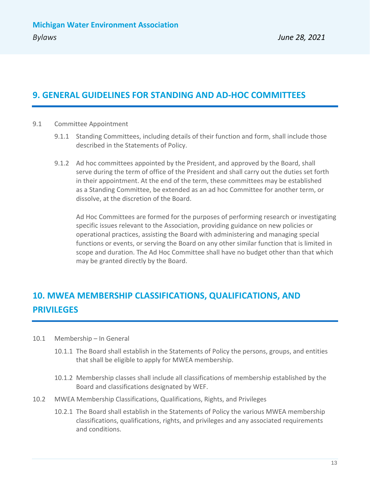# <span id="page-12-0"></span>**9. GENERAL GUIDELINES FOR STANDING AND AD-HOC COMMITTEES**

- <span id="page-12-1"></span>9.1 Committee Appointment
	- 9.1.1 Standing Committees, including details of their function and form, shall include those described in the Statements of Policy.
	- 9.1.2 Ad hoc committees appointed by the President, and approved by the Board, shall serve during the term of office of the President and shall carry out the duties set forth in their appointment. At the end of the term, these committees may be established as a Standing Committee, be extended as an ad hoc Committee for another term, or dissolve, at the discretion of the Board.

Ad Hoc Committees are formed for the purposes of performing research or investigating specific issues relevant to the Association, providing guidance on new policies or operational practices, assisting the Board with administering and managing special functions or events, or serving the Board on any other similar function that is limited in scope and duration. The Ad Hoc Committee shall have no budget other than that which may be granted directly by the Board.

# <span id="page-12-2"></span>**10. MWEA MEMBERSHIP CLASSIFICATIONS, QUALIFICATIONS, AND PRIVILEGES**

- <span id="page-12-3"></span>10.1 Membership – In General
	- 10.1.1 The Board shall establish in the Statements of Policy the persons, groups, and entities that shall be eligible to apply for MWEA membership.
	- 10.1.2 Membership classes shall include all classifications of membership established by the Board and classifications designated by WEF.
- <span id="page-12-4"></span>10.2 MWEA Membership Classifications, Qualifications, Rights, and Privileges
	- 10.2.1 The Board shall establish in the Statements of Policy the various MWEA membership classifications, qualifications, rights, and privileges and any associated requirements and conditions.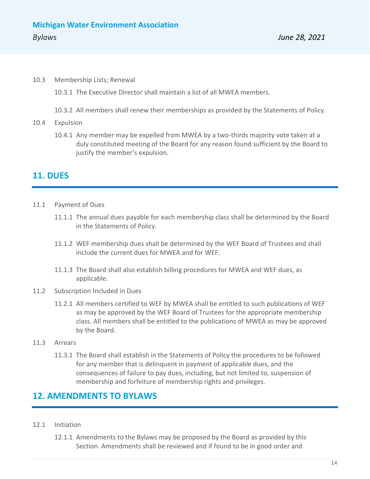<span id="page-13-0"></span>10.3 Membership Lists; Renewal

10.3.1 The Executive Director shall maintain a list of all MWEA members.

10.3.2 All members shall renew their memberships as provided by the Statements of Policy.

- <span id="page-13-1"></span>10.4 Expulsion
	- 10.4.1 Any member may be expelled from MWEA by a two-thirds majority vote taken at a duly constituted meeting of the Board for any reason found sufficient by the Board to justify the member's expulsion.

## <span id="page-13-2"></span>**11. DUES**

- <span id="page-13-3"></span>11.1 Payment of Dues
	- 11.1.1 The annual dues payable for each membership class shall be determined by the Board in the Statements of Policy.
	- 11.1.2 WEF membership dues shall be determined by the WEF Board of Trustees and shall include the current dues for MWEA and for WEF.
	- 11.1.3 The Board shall also establish billing procedures for MWEA and WEF dues, as applicable.
- <span id="page-13-4"></span>11.2 Subscription Included in Dues
	- 11.2.1 All members certified to WEF by MWEA shall be entitled to such publications of WEF as may be approved by the WEF Board of Trustees for the appropriate membership class. All members shall be entitled to the publications of MWEA as may be approved by the Board.
- <span id="page-13-5"></span>11.3 Arrears
	- 11.3.1 The Board shall establish in the Statements of Policy the procedures to be followed for any member that is delinquent in payment of applicable dues, and the consequences of failure to pay dues, including, but not limited to, suspension of membership and forfeiture of membership rights and privileges.

### <span id="page-13-6"></span>**12. AMENDMENTS TO BYLAWS**

- <span id="page-13-7"></span>12.1 Initiation
	- 12.1.1 Amendments to the Bylaws may be proposed by the Board as provided by this Section. Amendments shall be reviewed and if found to be in good order and